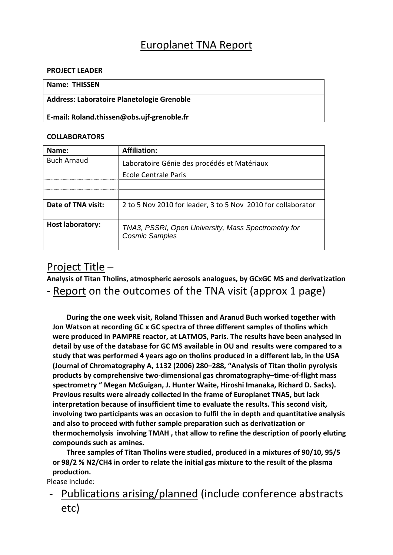# Europlanet TNA Report

#### **PROJECT LEADER**

### **Name: THISSEN**

#### **Address: Laboratoire Planetologie Grenoble**

**E‐mail: Roland.thissen@obs.ujf‐grenoble.fr**

#### **COLLABORATORS**

| Name:                   | Affiliation:                                                                 |
|-------------------------|------------------------------------------------------------------------------|
| <b>Buch Arnaud</b>      | Laboratoire Génie des procédés et Matériaux                                  |
|                         | Ecole Centrale Paris                                                         |
|                         |                                                                              |
|                         |                                                                              |
| Date of TNA visit:      | 2 to 5 Nov 2010 for leader, 3 to 5 Nov 2010 for collaborator                 |
| <b>Host laboratory:</b> | TNA3, PSSRI, Open University, Mass Spectrometry for<br><b>Cosmic Samples</b> |

## Project Title –

**Analysis of Titan Tholins, atmospheric aerosols analogues, by GCxGC MS and derivatization** ‐ Report on the outcomes of the TNA visit (approx 1 page)

**During the one week visit, Roland Thissen and Aranud Buch worked together with Jon Watson at recording GC x GC spectra of three different samples of tholins which were produced in PAMPRE reactor, at LATMOS, Paris. The results have been analysed in detail by use of the database for GC MS available in OU and results were compared to a study that was performed 4 years ago on tholins produced in a different lab, in the USA (Journal of Chromatography A, 1132 (2006) 280–288, "Analysis of Titan tholin pyrolysis products by comprehensive two‐dimensional gas chromatography–time‐of‐flight mass spectrometry " Megan McGuigan, J. Hunter Waite, Hiroshi Imanaka, Richard D. Sacks). Previous results were already collected in the frame of Europlanet TNA5, but lack interpretation because of insufficient time to evaluate the results. This second visit, involving two participants was an occasion to fulfil the in depth and quantitative analysis and also to proceed with futher sample preparation such as derivatization or thermochemolysis involving TMAH , that allow to refine the description of poorly eluting compounds such as amines.** 

**Three samples of Titan Tholins were studied, produced in a mixtures of 90/10, 95/5 or 98/2 % N2/CH4 in order to relate the initial gas mixture to the result of the plasma production.**

Please include:

‐ Publications arising/planned (include conference abstracts etc)